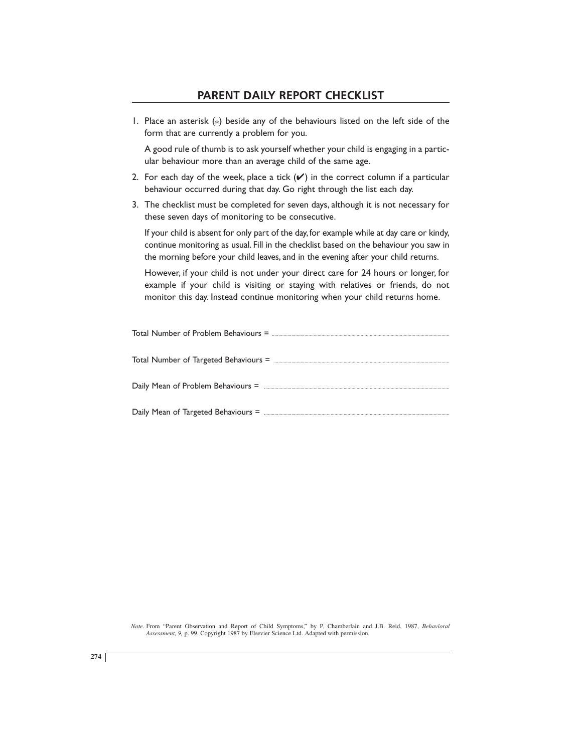1. Place an asterisk (\* ) beside any of the behaviours listed on the left side of the form that are currently a problem for you.

A good rule of thumb is to ask yourself whether your child is engaging in a particular behaviour more than an average child of the same age.

- 2. For each day of the week, place a tick  $(V)$  in the correct column if a particular behaviour occurred during that day. Go right through the list each day.
- 3. The checklist must be completed for seven days, although it is not necessary for these seven days of monitoring to be consecutive.

If your child is absent for only part of the day, for example while at day care or kindy, continue monitoring as usual. Fill in the checklist based on the behaviour you saw in the morning before your child leaves, and in the evening after your child returns.

However, if your child is not under your direct care for 24 hours or longer, for example if your child is visiting or staying with relatives or friends, do not monitor this day. Instead continue monitoring when your child returns home.

*Note.* From "Parent Observation and Report of Child Symptoms," by P. Chamberlain and J.B. Reid, 1987, *Behavioral Assessment, 9,* p. 99. Copyright 1987 by Elsevier Science Ltd. Adapted with permission.